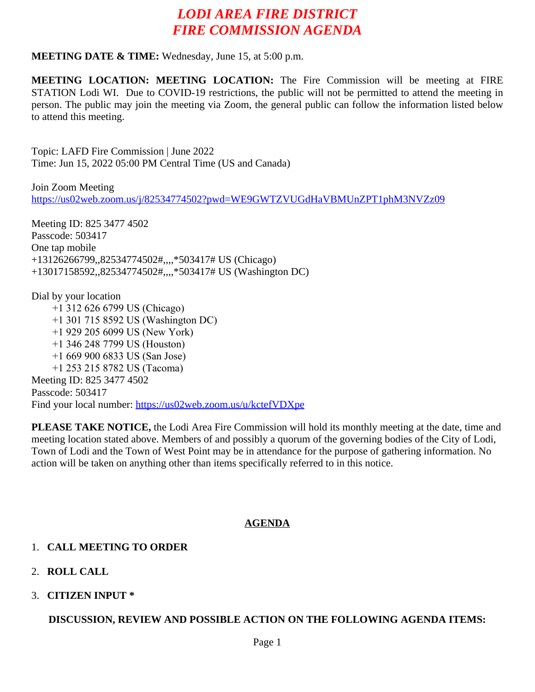## *LODI AREA FIRE DISTRICT FIRE COMMISSION AGENDA*

#### **MEETING DATE & TIME:** Wednesday, June 15, at 5:00 p.m.

**MEETING LOCATION: MEETING LOCATION:** The Fire Commission will be meeting at FIRE STATION Lodi WI. Due to COVID-19 restrictions, the public will not be permitted to attend the meeting in person. The public may join the meeting via Zoom, the general public can follow the information listed below to attend this meeting.

Topic: LAFD Fire Commission | June 2022 Time: Jun 15, 2022 05:00 PM Central Time (US and Canada)

Join Zoom Meeting <https://us02web.zoom.us/j/82534774502?pwd=WE9GWTZVUGdHaVBMUnZPT1phM3NVZz09>

Meeting ID: 825 3477 4502 Passcode: 503417 One tap mobile +13126266799,,82534774502#,,,,\*503417# US (Chicago) +13017158592,,82534774502#,,,,\*503417# US (Washington DC)

Dial by your location +1 312 626 6799 US (Chicago) +1 301 715 8592 US (Washington DC) +1 929 205 6099 US (New York) +1 346 248 7799 US (Houston) +1 669 900 6833 US (San Jose) +1 253 215 8782 US (Tacoma) Meeting ID: 825 3477 4502 Passcode: 503417 Find your local number:<https://us02web.zoom.us/u/kctefVDXpe>

**PLEASE TAKE NOTICE,** the Lodi Area Fire Commission will hold its monthly meeting at the date, time and meeting location stated above. Members of and possibly a quorum of the governing bodies of the City of Lodi, Town of Lodi and the Town of West Point may be in attendance for the purpose of gathering information. No action will be taken on anything other than items specifically referred to in this notice.

### **AGENDA**

### 1. **CALL MEETING TO ORDER**

- 2. **ROLL CALL**
- 3. **CITIZEN INPUT \***

### **DISCUSSION, REVIEW AND POSSIBLE ACTION ON THE FOLLOWING AGENDA ITEMS:**